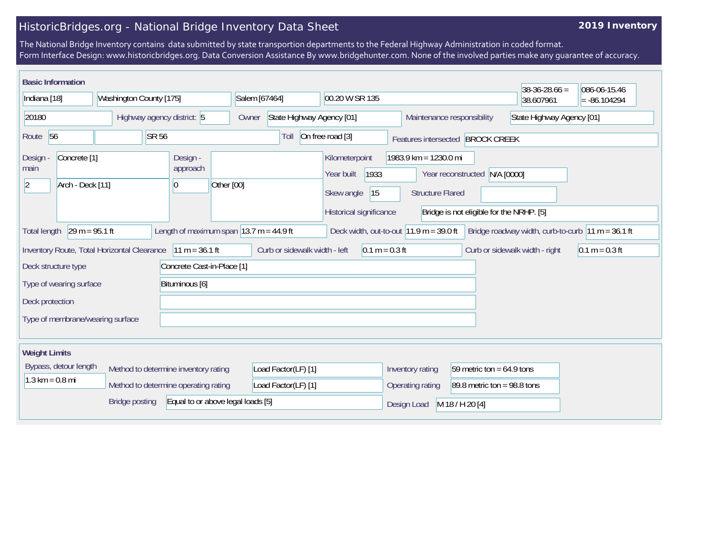## HistoricBridges.org - National Bridge Inventory Data Sheet

## **2019 Inventory**

The National Bridge Inventory contains data submitted by state transportion departments to the Federal Highway Administration in coded format. Form Interface Design: www.historicbridges.org. Data Conversion Assistance By www.bridgehunter.com. None of the involved parties make any guarantee of accuracy.

| <b>Basic Information</b>                                                                                                                                                                                                    |  |                                            |                                                                                                    |                                      |                                                                                                                               |                           | $38-36-28.66 =$                | 086-06-15.46     |
|-----------------------------------------------------------------------------------------------------------------------------------------------------------------------------------------------------------------------------|--|--------------------------------------------|----------------------------------------------------------------------------------------------------|--------------------------------------|-------------------------------------------------------------------------------------------------------------------------------|---------------------------|--------------------------------|------------------|
| Washington County [175]<br>Indiana [18]                                                                                                                                                                                     |  | Salem [67464]<br>00.20 W SR 135            |                                                                                                    |                                      | 38.607961                                                                                                                     | $= -86.104294$            |                                |                  |
| 20180<br>Highway agency district: 5                                                                                                                                                                                         |  | Owner                                      | State Highway Agency [01]<br>Maintenance responsibility                                            |                                      |                                                                                                                               | State Highway Agency [01] |                                |                  |
| <b>SR 56</b><br>56<br>Route                                                                                                                                                                                                 |  |                                            | Toll                                                                                               | On free road [3]                     | Features intersected BROCK CREEK                                                                                              |                           |                                |                  |
| Concrete <sup>[1]</sup><br>Design -<br>main<br>Arch - Deck [11]<br> 2                                                                                                                                                       |  | Design -<br>approach<br>$\overline{0}$     | Kilometerpoint<br>1933<br>Year built<br>Other [00]<br> 15<br>Skew angle<br>Historical significance |                                      | 1983.9 km = 1230.0 mi<br>Year reconstructed N/A [0000]<br><b>Structure Flared</b><br>Bridge is not eligible for the NRHP. [5] |                           |                                |                  |
| Length of maximum span $ 13.7 \text{ m} = 44.9 \text{ ft} $<br>$29 m = 95.1 ft$<br>Deck width, out-to-out $11.9 \text{ m} = 39.0 \text{ ft}$<br>Bridge roadway width, curb-to-curb $ 11 m = 36.1 ft$<br><b>Total length</b> |  |                                            |                                                                                                    |                                      |                                                                                                                               |                           |                                |                  |
| Inventory Route, Total Horizontal Clearance<br>$11 m = 36.1 ft$                                                                                                                                                             |  |                                            | Curb or sidewalk width - left                                                                      | $0.1 m = 0.3 ft$                     |                                                                                                                               |                           | Curb or sidewalk width - right | $0.1 m = 0.3 ft$ |
| Concrete Cast-in-Place [1]<br>Deck structure type<br>Type of wearing surface<br>Bituminous [6]<br>Deck protection<br>Type of membrane/wearing surface                                                                       |  |                                            |                                                                                                    |                                      |                                                                                                                               |                           |                                |                  |
| <b>Weight Limits</b><br>Bypass, detour length<br>Method to determine inventory rating<br>$1.3 \text{ km} = 0.8 \text{ mi}$<br>Method to determine operating rating                                                          |  | Load Factor(LF) [1]<br>Load Factor(LF) [1] |                                                                                                    | Inventory rating<br>Operating rating | 59 metric ton = $64.9$ tons<br>89.8 metric ton = $98.8$ tons                                                                  |                           |                                |                  |
| Equal to or above legal loads [5]<br><b>Bridge posting</b>                                                                                                                                                                  |  |                                            |                                                                                                    |                                      | Design Load                                                                                                                   | M 18 / H 20 [4]           |                                |                  |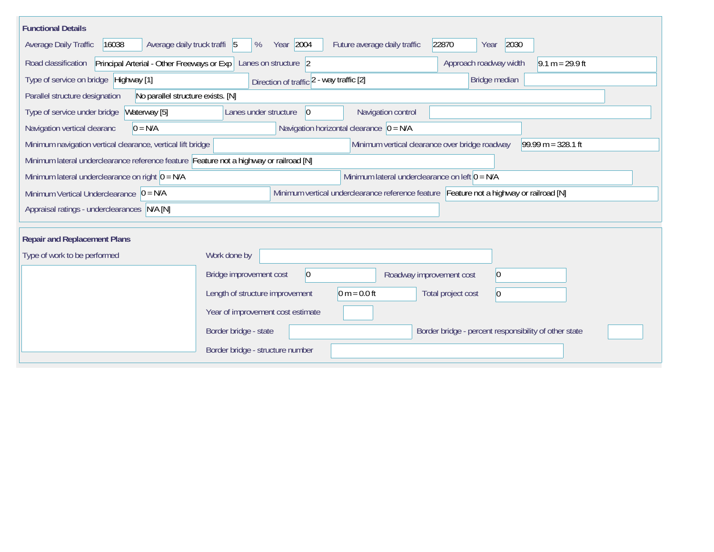| <b>Functional Details</b>                                                              |                                                                                         |                                                                        |
|----------------------------------------------------------------------------------------|-----------------------------------------------------------------------------------------|------------------------------------------------------------------------|
| 16038<br>Average daily truck traffi 5<br>Average Daily Traffic                         | Year 2004<br>Future average daily traffic<br>%                                          | 22870<br>2030<br>Year                                                  |
| Road classification                                                                    | Principal Arterial - Other Freeways or Exp   Lanes on structure 2                       | Approach roadway width<br>$9.1 m = 29.9 ft$                            |
| Type of service on bridge Highway [1]                                                  | Direction of traffic 2 - way traffic [2]                                                | Bridge median                                                          |
| Parallel structure designation<br>No parallel structure exists. [N]                    |                                                                                         |                                                                        |
| Type of service under bridge<br>Waterway [5]                                           | Navigation control<br>Lanes under structure<br>$\vert$ 0                                |                                                                        |
| $0 = N/A$<br>Navigation vertical clearanc                                              | Navigation horizontal clearance $ 0 = N/A $                                             |                                                                        |
| Minimum navigation vertical clearance, vertical lift bridge                            |                                                                                         | Minimum vertical clearance over bridge roadway<br>$99.99 m = 328.1 ft$ |
| Minimum lateral underclearance reference feature Feature not a highway or railroad [N] |                                                                                         |                                                                        |
| Minimum lateral underclearance on right $0 = N/A$                                      | Minimum lateral underclearance on left $0 = N/A$                                        |                                                                        |
| Minimum Vertical Underclearance $ 0 = N/A $                                            | Minimum vertical underclearance reference feature Feature not a highway or railroad [N] |                                                                        |
| Appraisal ratings - underclearances N/A [N]                                            |                                                                                         |                                                                        |
|                                                                                        |                                                                                         |                                                                        |
| <b>Repair and Replacement Plans</b>                                                    |                                                                                         |                                                                        |
| Type of work to be performed                                                           | Work done by                                                                            |                                                                        |
|                                                                                        | $ 0\rangle$<br>Bridge improvement cost                                                  | 0 <br>Roadway improvement cost                                         |
|                                                                                        | $0 m = 0.0 ft$<br>Length of structure improvement                                       | Total project cost<br>$\vert 0 \vert$                                  |
|                                                                                        | Year of improvement cost estimate                                                       |                                                                        |
|                                                                                        | Border bridge - state                                                                   | Border bridge - percent responsibility of other state                  |
|                                                                                        | Border bridge - structure number                                                        |                                                                        |